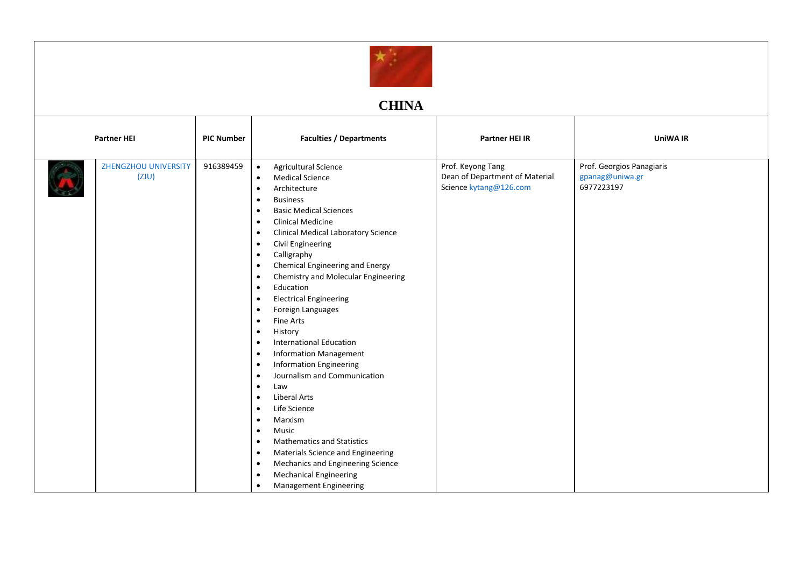

## **CHINA**

| <b>Partner HEI</b> |                                      | <b>PIC Number</b> | <b>Faculties / Departments</b>                                                                                                                                                                                                                                                                                                                                                                                                                                                                                                                                                                                                                                                                                                                                                                                                                                                                                                                                                                                                                                                                                                      | <b>Partner HEI IR</b>                                                         | <b>UniWA IR</b>                                            |
|--------------------|--------------------------------------|-------------------|-------------------------------------------------------------------------------------------------------------------------------------------------------------------------------------------------------------------------------------------------------------------------------------------------------------------------------------------------------------------------------------------------------------------------------------------------------------------------------------------------------------------------------------------------------------------------------------------------------------------------------------------------------------------------------------------------------------------------------------------------------------------------------------------------------------------------------------------------------------------------------------------------------------------------------------------------------------------------------------------------------------------------------------------------------------------------------------------------------------------------------------|-------------------------------------------------------------------------------|------------------------------------------------------------|
|                    | <b>ZHENGZHOU UNIVERSITY</b><br>(ZJU) | 916389459         | Agricultural Science<br>$\bullet$<br><b>Medical Science</b><br>$\bullet$<br>Architecture<br>$\bullet$<br><b>Business</b><br><b>Basic Medical Sciences</b><br>٠<br><b>Clinical Medicine</b><br>$\bullet$<br><b>Clinical Medical Laboratory Science</b><br>$\bullet$<br><b>Civil Engineering</b><br>$\bullet$<br>Calligraphy<br>$\bullet$<br>Chemical Engineering and Energy<br>٠<br>Chemistry and Molecular Engineering<br>$\bullet$<br>Education<br>$\bullet$<br><b>Electrical Engineering</b><br>$\bullet$<br>Foreign Languages<br>$\bullet$<br><b>Fine Arts</b><br>$\bullet$<br>History<br>$\bullet$<br><b>International Education</b><br>$\bullet$<br><b>Information Management</b><br>$\bullet$<br><b>Information Engineering</b><br>$\bullet$<br>Journalism and Communication<br>Law<br>$\bullet$<br><b>Liberal Arts</b><br>$\bullet$<br>Life Science<br>$\bullet$<br>Marxism<br>$\bullet$<br>Music<br>٠<br><b>Mathematics and Statistics</b><br>$\bullet$<br>Materials Science and Engineering<br>٠<br>Mechanics and Engineering Science<br>$\bullet$<br><b>Mechanical Engineering</b><br>$\bullet$<br>Management Engineering | Prof. Keyong Tang<br>Dean of Department of Material<br>Science kytang@126.com | Prof. Georgios Panagiaris<br>gpanag@uniwa.gr<br>6977223197 |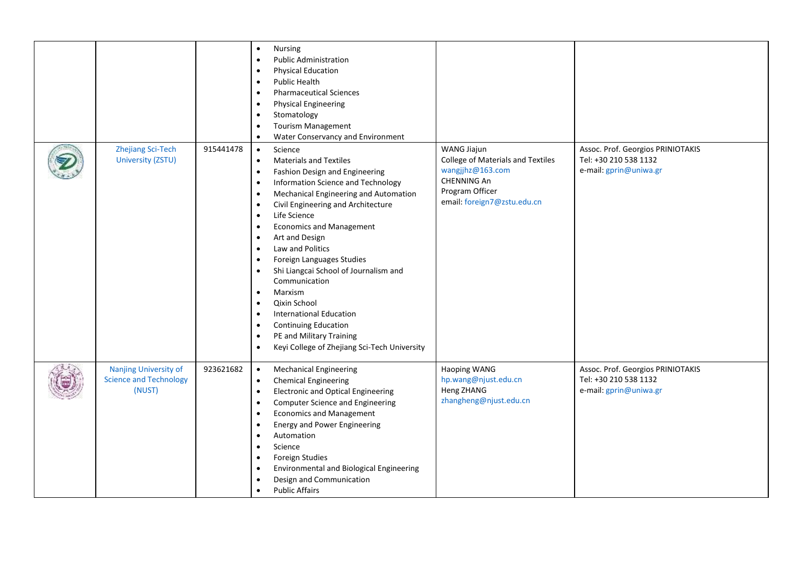|                                                                         |           | <b>Nursing</b><br>$\bullet$<br><b>Public Administration</b><br>$\bullet$<br><b>Physical Education</b><br>$\bullet$<br>Public Health<br><b>Pharmaceutical Sciences</b><br>$\bullet$<br><b>Physical Engineering</b><br>$\bullet$<br>Stomatology<br>$\bullet$<br><b>Tourism Management</b><br>$\bullet$<br>Water Conservancy and Environment<br>$\bullet$                                                                                                                                                                                                                                                                                                                                                                                                                                            |                                                                                                                                       |                                                                                      |
|-------------------------------------------------------------------------|-----------|---------------------------------------------------------------------------------------------------------------------------------------------------------------------------------------------------------------------------------------------------------------------------------------------------------------------------------------------------------------------------------------------------------------------------------------------------------------------------------------------------------------------------------------------------------------------------------------------------------------------------------------------------------------------------------------------------------------------------------------------------------------------------------------------------|---------------------------------------------------------------------------------------------------------------------------------------|--------------------------------------------------------------------------------------|
| <b>Zhejiang Sci-Tech</b><br>University (ZSTU)                           | 915441478 | Science<br>$\bullet$<br><b>Materials and Textiles</b><br>$\bullet$<br>Fashion Design and Engineering<br>$\bullet$<br>Information Science and Technology<br>$\bullet$<br>Mechanical Engineering and Automation<br>$\bullet$<br>Civil Engineering and Architecture<br>$\bullet$<br>Life Science<br>$\bullet$<br><b>Economics and Management</b><br>$\bullet$<br>Art and Design<br>$\bullet$<br>Law and Politics<br>$\bullet$<br>Foreign Languages Studies<br>$\bullet$<br>Shi Liangcai School of Journalism and<br>$\bullet$<br>Communication<br>Marxism<br>$\bullet$<br>Qixin School<br>$\bullet$<br><b>International Education</b><br>$\bullet$<br><b>Continuing Education</b><br>$\bullet$<br>PE and Military Training<br>$\bullet$<br>Keyi College of Zhejiang Sci-Tech University<br>$\bullet$ | WANG Jiajun<br>College of Materials and Textiles<br>wangjjhz@163.com<br>CHENNING An<br>Program Officer<br>email: foreign7@zstu.edu.cn | Assoc. Prof. Georgios PRINIOTAKIS<br>Tel: +30 210 538 1132<br>e-mail: gprin@uniwa.gr |
| <b>Nanjing University of</b><br><b>Science and Technology</b><br>(NUST) | 923621682 | <b>Mechanical Engineering</b><br>$\bullet$<br><b>Chemical Engineering</b><br>$\bullet$<br><b>Electronic and Optical Engineering</b><br>$\bullet$<br><b>Computer Science and Engineering</b><br>$\bullet$<br><b>Economics and Management</b><br>$\bullet$<br><b>Energy and Power Engineering</b><br>$\bullet$<br>Automation<br>$\bullet$<br>Science<br>$\bullet$<br>Foreign Studies<br>$\bullet$<br><b>Environmental and Biological Engineering</b><br>$\bullet$<br>Design and Communication<br>$\bullet$<br><b>Public Affairs</b><br>$\bullet$                                                                                                                                                                                                                                                    | Haoping WANG<br>hp.wang@njust.edu.cn<br>Heng ZHANG<br>zhangheng@njust.edu.cn                                                          | Assoc. Prof. Georgios PRINIOTAKIS<br>Tel: +30 210 538 1132<br>e-mail: gprin@uniwa.gr |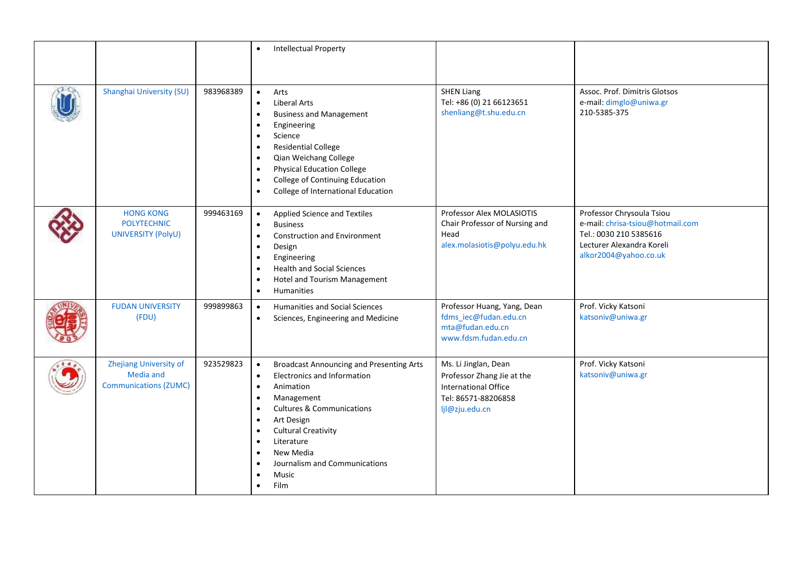|                                                                     |           | <b>Intellectual Property</b><br>$\bullet$                                                                                                                                                                                                                                                                                                                                                                    |                                                                                                                            |                                                                                                                                               |
|---------------------------------------------------------------------|-----------|--------------------------------------------------------------------------------------------------------------------------------------------------------------------------------------------------------------------------------------------------------------------------------------------------------------------------------------------------------------------------------------------------------------|----------------------------------------------------------------------------------------------------------------------------|-----------------------------------------------------------------------------------------------------------------------------------------------|
| Shanghai University (SU)                                            | 983968389 | Arts<br>$\bullet$<br><b>Liberal Arts</b><br>$\bullet$<br><b>Business and Management</b><br>$\bullet$<br>Engineering<br>$\bullet$<br>Science<br>$\bullet$<br><b>Residential College</b><br>$\bullet$<br>Qian Weichang College<br>$\bullet$<br><b>Physical Education College</b><br>College of Continuing Education<br>$\bullet$<br>College of International Education<br>$\bullet$                            | <b>SHEN Liang</b><br>Tel: +86 (0) 21 66123651<br>shenliang@t.shu.edu.cn                                                    | Assoc. Prof. Dimitris Glotsos<br>e-mail: dimglo@uniwa.gr<br>210-5385-375                                                                      |
| <b>HONG KONG</b><br><b>POLYTECHNIC</b><br>UNIVERSITY (PolyU)        | 999463169 | Applied Science and Textiles<br>$\bullet$<br><b>Business</b><br>$\bullet$<br><b>Construction and Environment</b><br>$\bullet$<br>Design<br>Engineering<br>$\bullet$<br><b>Health and Social Sciences</b><br>$\bullet$<br>Hotel and Tourism Management<br>$\bullet$<br>Humanities<br>$\bullet$                                                                                                                | Professor Alex MOLASIOTIS<br>Chair Professor of Nursing and<br>Head<br>alex.molasiotis@polyu.edu.hk                        | Professor Chrysoula Tsiou<br>e-mail: chrisa-tsiou@hotmail.com<br>Tel.: 0030 210 5385616<br>Lecturer Alexandra Koreli<br>alkor2004@yahoo.co.uk |
| <b>FUDAN UNIVERSITY</b><br>(FDU)                                    | 999899863 | Humanities and Social Sciences<br>$\bullet$<br>Sciences, Engineering and Medicine<br>$\bullet$                                                                                                                                                                                                                                                                                                               | Professor Huang, Yang, Dean<br>fdms iec@fudan.edu.cn<br>mta@fudan.edu.cn<br>www.fdsm.fudan.edu.cn                          | Prof. Vicky Katsoni<br>katsoniv@uniwa.gr                                                                                                      |
| Zhejiang University of<br>Media and<br><b>Communications (ZUMC)</b> | 923529823 | <b>Broadcast Announcing and Presenting Arts</b><br>$\bullet$<br>Electronics and Information<br>$\bullet$<br>Animation<br>$\bullet$<br>Management<br>$\bullet$<br><b>Cultures &amp; Communications</b><br>$\bullet$<br>Art Design<br>$\bullet$<br><b>Cultural Creativity</b><br>$\bullet$<br>Literature<br>$\bullet$<br>New Media<br>Journalism and Communications<br>$\bullet$<br>Music<br>$\bullet$<br>Film | Ms. Li Jinglan, Dean<br>Professor Zhang Jie at the<br><b>International Office</b><br>Tel: 86571-88206858<br>ljl@zju.edu.cn | Prof. Vicky Katsoni<br>katsoniv@uniwa.gr                                                                                                      |